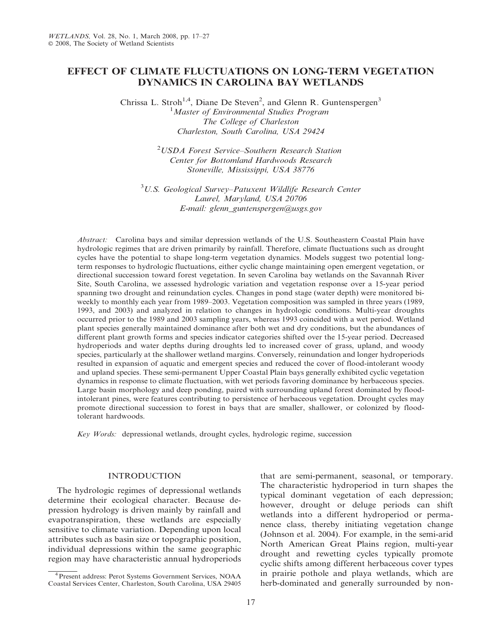# EFFECT OF CLIMATE FLUCTUATIONS ON LONG-TERM VEGETATION DYNAMICS IN CAROLINA BAY WETLANDS

Chrissa L. Stroh<sup>1,4</sup>, Diane De Steven<sup>2</sup>, and Glenn R. Guntenspergen<sup>3</sup> <sup>1</sup> Master of Environmental Studies Program The College of Charleston Charleston, South Carolina, USA 29424

> 2 USDA Forest Service–Southern Research Station Center for Bottomland Hardwoods Research Stoneville, Mississippi, USA 38776

 $3U.S.$  Geological Survey-Patuxent Wildlife Research Center Laurel, Maryland, USA 20706 E-mail: glenn\_guntenspergen@usgs.gov

Abstract: Carolina bays and similar depression wetlands of the U.S. Southeastern Coastal Plain have hydrologic regimes that are driven primarily by rainfall. Therefore, climate fluctuations such as drought cycles have the potential to shape long-term vegetation dynamics. Models suggest two potential longterm responses to hydrologic fluctuations, either cyclic change maintaining open emergent vegetation, or directional succession toward forest vegetation. In seven Carolina bay wetlands on the Savannah River Site, South Carolina, we assessed hydrologic variation and vegetation response over a 15-year period spanning two drought and reinundation cycles. Changes in pond stage (water depth) were monitored biweekly to monthly each year from 1989–2003. Vegetation composition was sampled in three years (1989, 1993, and 2003) and analyzed in relation to changes in hydrologic conditions. Multi-year droughts occurred prior to the 1989 and 2003 sampling years, whereas 1993 coincided with a wet period. Wetland plant species generally maintained dominance after both wet and dry conditions, but the abundances of different plant growth forms and species indicator categories shifted over the 15-year period. Decreased hydroperiods and water depths during droughts led to increased cover of grass, upland, and woody species, particularly at the shallower wetland margins. Conversely, reinundation and longer hydroperiods resulted in expansion of aquatic and emergent species and reduced the cover of flood-intolerant woody and upland species. These semi-permanent Upper Coastal Plain bays generally exhibited cyclic vegetation dynamics in response to climate fluctuation, with wet periods favoring dominance by herbaceous species. Large basin morphology and deep ponding, paired with surrounding upland forest dominated by floodintolerant pines, were features contributing to persistence of herbaceous vegetation. Drought cycles may promote directional succession to forest in bays that are smaller, shallower, or colonized by floodtolerant hardwoods.

Key Words: depressional wetlands, drought cycles, hydrologic regime, succession

## INTRODUCTION

The hydrologic regimes of depressional wetlands determine their ecological character. Because depression hydrology is driven mainly by rainfall and evapotranspiration, these wetlands are especially sensitive to climate variation. Depending upon local attributes such as basin size or topographic position, individual depressions within the same geographic region may have characteristic annual hydroperiods that are semi-permanent, seasonal, or temporary. The characteristic hydroperiod in turn shapes the typical dominant vegetation of each depression; however, drought or deluge periods can shift wetlands into a different hydroperiod or permanence class, thereby initiating vegetation change (Johnson et al. 2004). For example, in the semi-arid North American Great Plains region, multi-year drought and rewetting cycles typically promote cyclic shifts among different herbaceous cover types in prairie pothole and playa wetlands, which are herb-dominated and generally surrounded by non-

<sup>4</sup>Present address: Perot Systems Government Services, NOAA Coastal Services Center, Charleston, South Carolina, USA 29405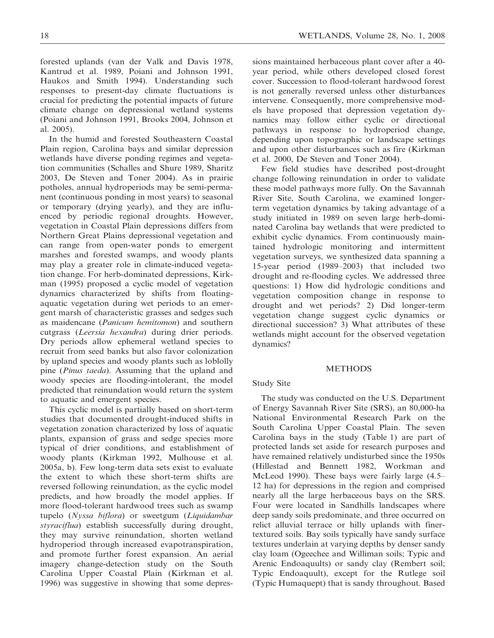forested uplands (van der Valk and Davis 1978, Kantrud et al. 1989, Poiani and Johnson 1991, Haukos and Smith 1994). Understanding such responses to present-day climate fluctuations is crucial for predicting the potential impacts of future climate change on depressional wetland systems (Poiani and Johnson 1991, Brooks 2004, Johnson et al. 2005).

In the humid and forested Southeastern Coastal Plain region, Carolina bays and similar depression wetlands have diverse ponding regimes and vegetation communities (Schalles and Shure 1989, Sharitz 2003, De Steven and Toner 2004). As in prairie potholes, annual hydroperiods may be semi-permanent (continuous ponding in most years) to seasonal or temporary (drying yearly), and they are influenced by periodic regional droughts. However, vegetation in Coastal Plain depressions differs from Northern Great Plains depressional vegetation and can range from open-water ponds to emergent marshes and forested swamps, and woody plants may play a greater role in climate-induced vegetation change. For herb-dominated depressions, Kirkman (1995) proposed a cyclic model of vegetation dynamics characterized by shifts from floatingaquatic vegetation during wet periods to an emergent marsh of characteristic grasses and sedges such as maidencane (Panicum hemitomon) and southern cutgrass (Leersia hexandra) during drier periods. Dry periods allow ephemeral wetland species to recruit from seed banks but also favor colonization by upland species and woody plants such as loblolly pine (Pinus taeda). Assuming that the upland and woody species are flooding-intolerant, the model predicted that reinundation would return the system to aquatic and emergent species.

This cyclic model is partially based on short-term studies that documented drought-induced shifts in vegetation zonation characterized by loss of aquatic plants, expansion of grass and sedge species more typical of drier conditions, and establishment of woody plants (Kirkman 1992, Mulhouse et al. 2005a, b). Few long-term data sets exist to evaluate the extent to which these short-term shifts are reversed following reinundation, as the cyclic model predicts, and how broadly the model applies. If more flood-tolerant hardwood trees such as swamp tupelo (Nyssa biflora) or sweetgum (Liquidambar styraciflua) establish successfully during drought, they may survive reinundation, shorten wetland hydroperiod through increased evapotranspiration, and promote further forest expansion. An aerial imagery change-detection study on the South Carolina Upper Coastal Plain (Kirkman et al. 1996) was suggestive in showing that some depressions maintained herbaceous plant cover after a 40 year period, while others developed closed forest cover. Succession to flood-tolerant hardwood forest is not generally reversed unless other disturbances intervene. Consequently, more comprehensive models have proposed that depression vegetation dynamics may follow either cyclic or directional pathways in response to hydroperiod change, depending upon topographic or landscape settings and upon other disturbances such as fire (Kirkman et al. 2000, De Steven and Toner 2004).

Few field studies have described post-drought change following reinundation in order to validate these model pathways more fully. On the Savannah River Site, South Carolina, we examined longerterm vegetation dynamics by taking advantage of a study initiated in 1989 on seven large herb-dominated Carolina bay wetlands that were predicted to exhibit cyclic dynamics. From continuously maintained hydrologic monitoring and intermittent vegetation surveys, we synthesized data spanning a 15-year period (1989–2003) that included two drought and re-flooding cycles. We addressed three questions: 1) How did hydrologic conditions and vegetation composition change in response to drought and wet periods? 2) Did longer-term vegetation change suggest cyclic dynamics or directional succession? 3) What attributes of these wetlands might account for the observed vegetation dynamics?

## METHODS

## Study Site

The study was conducted on the U.S. Department of Energy Savannah River Site (SRS), an 80,000-ha National Environmental Research Park on the South Carolina Upper Coastal Plain. The seven Carolina bays in the study (Table 1) are part of protected lands set aside for research purposes and have remained relatively undisturbed since the 1950s (Hillestad and Bennett 1982, Workman and McLeod 1990). These bays were fairly large (4.5– 12 ha) for depressions in the region and comprised nearly all the large herbaceous bays on the SRS. Four were located in Sandhills landscapes where deep sandy soils predominate, and three occurred on relict alluvial terrace or hilly uplands with finertextured soils. Bay soils typically have sandy surface textures underlain at varying depths by denser sandy clay loam (Ogeechee and Williman soils; Typic and Arenic Endoaquults) or sandy clay (Rembert soil; Typic Endoaquult), except for the Rutlege soil (Typic Humaquept) that is sandy throughout. Based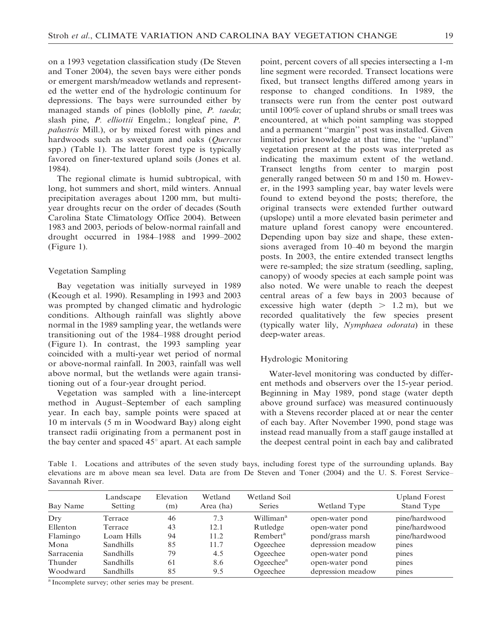on a 1993 vegetation classification study (De Steven and Toner 2004), the seven bays were either ponds or emergent marsh/meadow wetlands and represented the wetter end of the hydrologic continuum for depressions. The bays were surrounded either by managed stands of pines (loblolly pine, P. taeda; slash pine, P. elliottii Engelm.; longleaf pine, P. palustris Mill.), or by mixed forest with pines and hardwoods such as sweetgum and oaks (*Quercus* spp.) (Table 1). The latter forest type is typically favored on finer-textured upland soils (Jones et al. 1984).

The regional climate is humid subtropical, with long, hot summers and short, mild winters. Annual precipitation averages about 1200 mm, but multiyear droughts recur on the order of decades (South Carolina State Climatology Office 2004). Between 1983 and 2003, periods of below-normal rainfall and drought occurred in 1984–1988 and 1999–2002 (Figure 1).

## Vegetation Sampling

Bay vegetation was initially surveyed in 1989 (Keough et al. 1990). Resampling in 1993 and 2003 was prompted by changed climatic and hydrologic conditions. Although rainfall was slightly above normal in the 1989 sampling year, the wetlands were transitioning out of the 1984–1988 drought period (Figure 1). In contrast, the 1993 sampling year coincided with a multi-year wet period of normal or above-normal rainfall. In 2003, rainfall was well above normal, but the wetlands were again transitioning out of a four-year drought period.

Vegetation was sampled with a line-intercept method in August–September of each sampling year. In each bay, sample points were spaced at 10 m intervals (5 m in Woodward Bay) along eight transect radii originating from a permanent post in the bay center and spaced  $45^\circ$  apart. At each sample point, percent covers of all species intersecting a 1-m line segment were recorded. Transect locations were fixed, but transect lengths differed among years in response to changed conditions. In 1989, the transects were run from the center post outward until 100% cover of upland shrubs or small trees was encountered, at which point sampling was stopped and a permanent ''margin'' post was installed. Given limited prior knowledge at that time, the ''upland'' vegetation present at the posts was interpreted as indicating the maximum extent of the wetland. Transect lengths from center to margin post generally ranged between 50 m and 150 m. However, in the 1993 sampling year, bay water levels were found to extend beyond the posts; therefore, the original transects were extended further outward (upslope) until a more elevated basin perimeter and mature upland forest canopy were encountered. Depending upon bay size and shape, these extensions averaged from 10–40 m beyond the margin posts. In 2003, the entire extended transect lengths were re-sampled; the size stratum (seedling, sapling, canopy) of woody species at each sample point was also noted. We were unable to reach the deepest central areas of a few bays in 2003 because of excessive high water (depth  $> 1.2$  m), but we recorded qualitatively the few species present (typically water lily, Nymphaea odorata) in these deep-water areas.

## Hydrologic Monitoring

Water-level monitoring was conducted by different methods and observers over the 15-year period. Beginning in May 1989, pond stage (water depth above ground surface) was measured continuously with a Stevens recorder placed at or near the center of each bay. After November 1990, pond stage was instead read manually from a staff gauge installed at the deepest central point in each bay and calibrated

Table 1. Locations and attributes of the seven study bays, including forest type of the surrounding uplands. Bay elevations are m above mean sea level. Data are from De Steven and Toner (2004) and the U. S. Forest Service– Savannah River.

| Bay Name          | Landscape<br>Setting | Elevation<br>(m) | Wetland<br>Area (ha) | Wetland Soil<br><b>Series</b> | Wetland Type      | <b>Upland Forest</b><br>Stand Type |
|-------------------|----------------------|------------------|----------------------|-------------------------------|-------------------|------------------------------------|
| Drv               | Terrace              | 46               | 7.3                  | Williman <sup>a</sup>         | open-water pond   | pine/hardwood                      |
| Ellenton          | Terrace              | 43               | 12.1                 | Rutledge                      | open-water pond   | pine/hardwood                      |
| Flamingo          | Loam Hills           | 94               | 11.2                 | Rembert <sup>a</sup>          | pond/grass marsh  | pine/hardwood                      |
| Mona              | <b>Sandhills</b>     | 85               | 11.7                 | Ogeechee                      | depression meadow | pines                              |
| <b>Sarracenia</b> | <b>Sandhills</b>     | 79               | 4.5                  | Ogeechee                      | open-water pond   | pines                              |
| Thunder           | <b>Sandhills</b>     | 61               | 8.6                  | Ogeechee <sup>a</sup>         | open-water pond   | pines                              |
| Woodward          | <b>Sandhills</b>     | 85               | 9.5                  | Ogeechee                      | depression meadow | pines                              |

<sup>a</sup> Incomplete survey; other series may be present.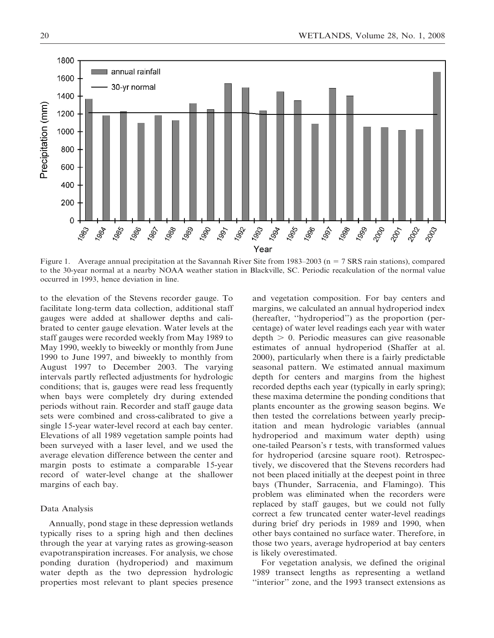

Figure 1. Average annual precipitation at the Savannah River Site from 1983–2003 (n = 7 SRS rain stations), compared to the 30-year normal at a nearby NOAA weather station in Blackville, SC. Periodic recalculation of the normal value occurred in 1993, hence deviation in line.

to the elevation of the Stevens recorder gauge. To facilitate long-term data collection, additional staff gauges were added at shallower depths and calibrated to center gauge elevation. Water levels at the staff gauges were recorded weekly from May 1989 to May 1990, weekly to biweekly or monthly from June 1990 to June 1997, and biweekly to monthly from August 1997 to December 2003. The varying intervals partly reflected adjustments for hydrologic conditions; that is, gauges were read less frequently when bays were completely dry during extended periods without rain. Recorder and staff gauge data sets were combined and cross-calibrated to give a single 15-year water-level record at each bay center. Elevations of all 1989 vegetation sample points had been surveyed with a laser level, and we used the average elevation difference between the center and margin posts to estimate a comparable 15-year record of water-level change at the shallower margins of each bay.

### Data Analysis

Annually, pond stage in these depression wetlands typically rises to a spring high and then declines through the year at varying rates as growing-season evapotranspiration increases. For analysis, we chose ponding duration (hydroperiod) and maximum water depth as the two depression hydrologic properties most relevant to plant species presence and vegetation composition. For bay centers and margins, we calculated an annual hydroperiod index (hereafter, ''hydroperiod'') as the proportion (percentage) of water level readings each year with water  $depth > 0$ . Periodic measures can give reasonable estimates of annual hydroperiod (Shaffer at al. 2000), particularly when there is a fairly predictable seasonal pattern. We estimated annual maximum depth for centers and margins from the highest recorded depths each year (typically in early spring); these maxima determine the ponding conditions that plants encounter as the growing season begins. We then tested the correlations between yearly precipitation and mean hydrologic variables (annual hydroperiod and maximum water depth) using one-tailed Pearson's r tests, with transformed values for hydroperiod (arcsine square root). Retrospectively, we discovered that the Stevens recorders had not been placed initially at the deepest point in three bays (Thunder, Sarracenia, and Flamingo). This problem was eliminated when the recorders were replaced by staff gauges, but we could not fully correct a few truncated center water-level readings during brief dry periods in 1989 and 1990, when other bays contained no surface water. Therefore, in those two years, average hydroperiod at bay centers is likely overestimated.

For vegetation analysis, we defined the original 1989 transect lengths as representing a wetland ''interior'' zone, and the 1993 transect extensions as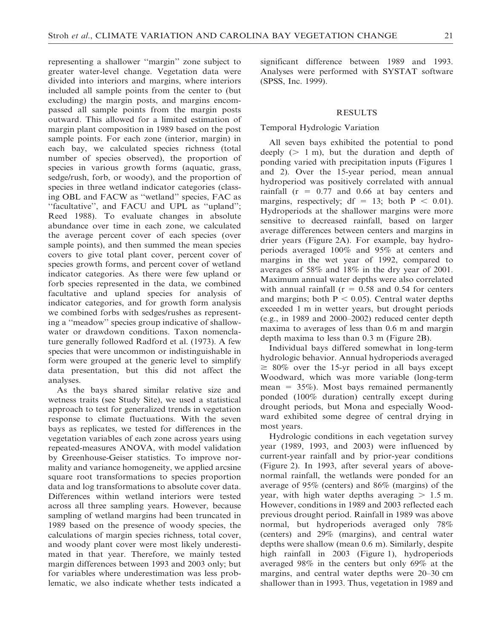representing a shallower ''margin'' zone subject to greater water-level change. Vegetation data were divided into interiors and margins, where interiors included all sample points from the center to (but excluding) the margin posts, and margins encompassed all sample points from the margin posts outward. This allowed for a limited estimation of margin plant composition in 1989 based on the post sample points. For each zone (interior, margin) in each bay, we calculated species richness (total number of species observed), the proportion of species in various growth forms (aquatic, grass, sedge/rush, forb, or woody), and the proportion of species in three wetland indicator categories (classing OBL and FACW as ''wetland'' species, FAC as "facultative", and FACU and UPL as "upland"; Reed 1988). To evaluate changes in absolute abundance over time in each zone, we calculated the average percent cover of each species (over sample points), and then summed the mean species covers to give total plant cover, percent cover of species growth forms, and percent cover of wetland indicator categories. As there were few upland or forb species represented in the data, we combined facultative and upland species for analysis of indicator categories, and for growth form analysis we combined forbs with sedges/rushes as representing a ''meadow'' species group indicative of shallowwater or drawdown conditions. Taxon nomenclature generally followed Radford et al. (1973). A few species that were uncommon or indistinguishable in form were grouped at the generic level to simplify data presentation, but this did not affect the analyses.

As the bays shared similar relative size and wetness traits (see Study Site), we used a statistical approach to test for generalized trends in vegetation response to climate fluctuations. With the seven bays as replicates, we tested for differences in the vegetation variables of each zone across years using repeated-measures ANOVA, with model validation by Greenhouse-Geiser statistics. To improve normality and variance homogeneity, we applied arcsine square root transformations to species proportion data and log transformations to absolute cover data. Differences within wetland interiors were tested across all three sampling years. However, because sampling of wetland margins had been truncated in 1989 based on the presence of woody species, the calculations of margin species richness, total cover, and woody plant cover were most likely underestimated in that year. Therefore, we mainly tested margin differences between 1993 and 2003 only; but for variables where underestimation was less problematic, we also indicate whether tests indicated a

significant difference between 1989 and 1993. Analyses were performed with SYSTAT software (SPSS, Inc. 1999).

#### RESULTS

#### Temporal Hydrologic Variation

All seven bays exhibited the potential to pond deeply  $(> 1 \text{ m})$ , but the duration and depth of ponding varied with precipitation inputs (Figures 1 and 2). Over the 15-year period, mean annual hydroperiod was positively correlated with annual rainfall  $(r = 0.77$  and 0.66 at bay centers and margins, respectively; df = 13; both  $P < 0.01$ ). Hydroperiods at the shallower margins were more sensitive to decreased rainfall, based on larger average differences between centers and margins in drier years (Figure 2A). For example, bay hydroperiods averaged 100% and 95% at centers and margins in the wet year of 1992, compared to averages of 58% and 18% in the dry year of 2001. Maximum annual water depths were also correlated with annual rainfall ( $r = 0.58$  and 0.54 for centers and margins; both  $P < 0.05$ ). Central water depths exceeded 1 m in wetter years, but drought periods (e.g., in 1989 and 2000–2002) reduced center depth maxima to averages of less than 0.6 m and margin depth maxima to less than 0.3 m (Figure 2B).

Individual bays differed somewhat in long-term hydrologic behavior. Annual hydroperiods averaged  $\geq 80\%$  over the 15-yr period in all bays except Woodward, which was more variable (long-term mean =  $35\%$ ). Most bays remained permanently ponded (100% duration) centrally except during drought periods, but Mona and especially Woodward exhibited some degree of central drying in most years.

Hydrologic conditions in each vegetation survey year (1989, 1993, and 2003) were influenced by current-year rainfall and by prior-year conditions (Figure 2). In 1993, after several years of abovenormal rainfall, the wetlands were ponded for an average of 95% (centers) and 86% (margins) of the year, with high water depths averaging  $> 1.5$  m. However, conditions in 1989 and 2003 reflected each previous drought period. Rainfall in 1989 was above normal, but hydroperiods averaged only 78% (centers) and 29% (margins), and central water depths were shallow (mean 0.6 m). Similarly, despite high rainfall in 2003 (Figure 1), hydroperiods averaged 98% in the centers but only 69% at the margins, and central water depths were 20–30 cm shallower than in 1993. Thus, vegetation in 1989 and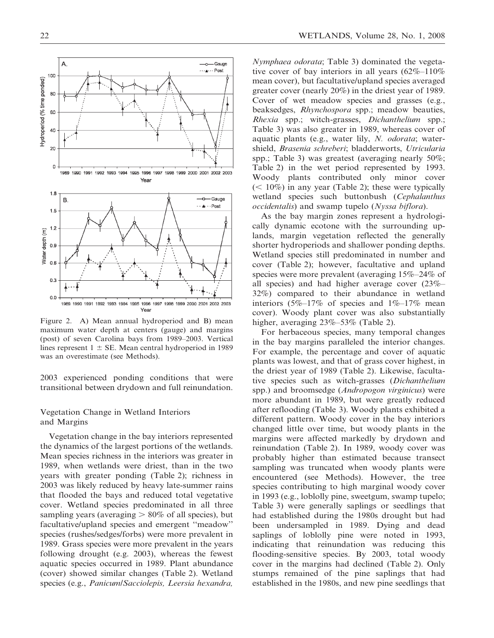Figure 2. A) Mean annual hydroperiod and B) mean maximum water depth at centers (gauge) and margins (post) of seven Carolina bays from 1989–2003. Vertical lines represent  $1 \pm SE$ . Mean central hydroperiod in 1989 was an overestimate (see Methods).

2003 experienced ponding conditions that were transitional between drydown and full reinundation.

## Vegetation Change in Wetland Interiors and Margins

Vegetation change in the bay interiors represented the dynamics of the largest portions of the wetlands. Mean species richness in the interiors was greater in 1989, when wetlands were driest, than in the two years with greater ponding (Table 2); richness in 2003 was likely reduced by heavy late-summer rains that flooded the bays and reduced total vegetative cover. Wetland species predominated in all three sampling years (averaging  $> 80\%$  of all species), but facultative/upland species and emergent ''meadow'' species (rushes/sedges/forbs) were more prevalent in 1989. Grass species were more prevalent in the years following drought (e.g. 2003), whereas the fewest aquatic species occurred in 1989. Plant abundance (cover) showed similar changes (Table 2). Wetland species (e.g., Panicum/Sacciolepis, Leersia hexandra, Nymphaea odorata; Table 3) dominated the vegetative cover of bay interiors in all years  $(62\% - 110\%)$ mean cover), but facultative/upland species averaged greater cover (nearly 20%) in the driest year of 1989. Cover of wet meadow species and grasses (e.g., beaksedges, Rhynchospora spp.; meadow beauties, Rhexia spp.; witch-grasses, Dichanthelium spp.; Table 3) was also greater in 1989, whereas cover of aquatic plants (e.g., water lily, N. odorata; watershield, Brasenia schreberi; bladderworts, Utricularia spp.; Table 3) was greatest (averaging nearly 50%; Table 2) in the wet period represented by 1993. Woody plants contributed only minor cover  $(< 10\%)$  in any year (Table 2); these were typically wetland species such buttonbush (Cephalanthus occidentalis) and swamp tupelo (Nyssa biflora).

As the bay margin zones represent a hydrologically dynamic ecotone with the surrounding uplands, margin vegetation reflected the generally shorter hydroperiods and shallower ponding depths. Wetland species still predominated in number and cover (Table 2); however, facultative and upland species were more prevalent (averaging 15%–24% of all species) and had higher average cover (23%– 32%) compared to their abundance in wetland interiors (5%–17% of species and  $1\%$ –17% mean cover). Woody plant cover was also substantially higher, averaging 23%–53% (Table 2).

For herbaceous species, many temporal changes in the bay margins paralleled the interior changes. For example, the percentage and cover of aquatic plants was lowest, and that of grass cover highest, in the driest year of 1989 (Table 2). Likewise, facultative species such as witch-grasses (Dichanthelium spp.) and broomsedge (Andropogon virginicus) were more abundant in 1989, but were greatly reduced after reflooding (Table 3). Woody plants exhibited a different pattern. Woody cover in the bay interiors changed little over time, but woody plants in the margins were affected markedly by drydown and reinundation (Table 2). In 1989, woody cover was probably higher than estimated because transect sampling was truncated when woody plants were encountered (see Methods). However, the tree species contributing to high marginal woody cover in 1993 (e.g., loblolly pine, sweetgum, swamp tupelo; Table 3) were generally saplings or seedlings that had established during the 1980s drought but had been undersampled in 1989. Dying and dead saplings of loblolly pine were noted in 1993, indicating that reinundation was reducing this flooding-sensitive species. By 2003, total woody cover in the margins had declined (Table 2). Only stumps remained of the pine saplings that had established in the 1980s, and new pine seedlings that

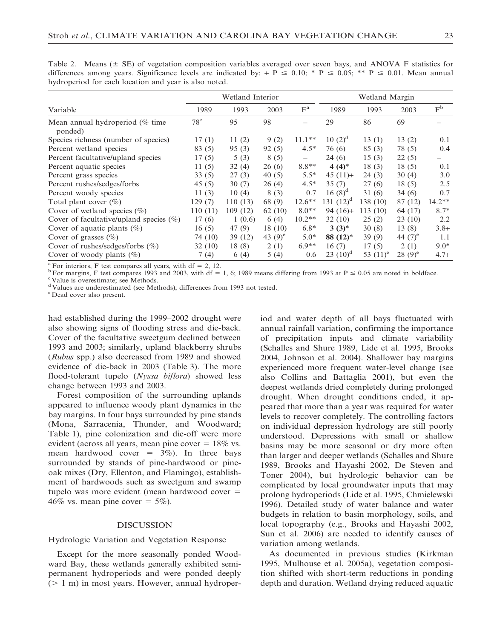|                                            | Wetland Interior |         |            |                 | Wetland Margin |             |            |                   |  |
|--------------------------------------------|------------------|---------|------------|-----------------|----------------|-------------|------------|-------------------|--|
| Variable                                   | 1989             | 1993    | 2003       | $F^a$           | 1989           | 1993        | 2003       | $F^b$             |  |
| Mean annual hydroperiod (% time<br>ponded) | $78^{\circ}$     | 95      | 98         |                 | 29             | 86          | 69         |                   |  |
| Species richness (number of species)       | 17(1)            | 11(2)   | 9(2)       | $11.1**$        | $10(2)^d$      | 13(1)       | 13(2)      | 0.1               |  |
| Percent wetland species                    | 83 (5)           | 95(3)   | 92(5)      | $4.5*$          | 76 (6)         | 85(3)       | 78 (5)     | $0.4^{\circ}$     |  |
| Percent facultative/upland species         | 17(5)            | 5(3)    | 8(5)       | $\qquad \qquad$ | 24(6)          | 15(3)       | 22(5)      | $\qquad \qquad -$ |  |
| Percent aquatic species                    | 11(5)            | 32(4)   | 26(6)      | $8.8**$         | $4(4)^*$       | 18(3)       | 18(5)      | 0.1               |  |
| Percent grass species                      | 33(5)            | 27(3)   | 40(5)      | $5.5*$          | $45(11) +$     | 24(3)       | 30(4)      | 3.0               |  |
| Percent rushes/sedges/forbs                | 45(5)            | 30(7)   | 26(4)      | $4.5*$          | 35(7)          | 27(6)       | 18(5)      | 2.5               |  |
| Percent woody species                      | 11 $(3)$         | 10(4)   | 8(3)       | 0.7             | $16(8)^d$      | 31(6)       | 34(6)      | 0.7               |  |
| Total plant cover $(\%)$                   | 129 (7)          | 110(13) | 68 (9)     | $12.6***$       | 131 $(12)^d$   | 138 (10)    | 87 (12)    | $14.2**$          |  |
| Cover of wetland species $(\% )$           | 110 (11)         | 109(12) | 62 $(10)$  | $8.0**$         | $94(16)+$      | 113(10)     | 64 (17)    | $8.7*$            |  |
| Cover of facultative/upland species $(\%)$ | 17(6)            | 1(0.6)  | 6(4)       | $10.2**$        | 32(10)         | 25(2)       | 23(10)     | $2.2^{\circ}$     |  |
| Cover of aquatic plants $(\%)$             | 16(5)            | 47 (9)  | 18 (10)    | $6.8*$          | $3(3)^{*}$     | 30(8)       | 13(8)      | $3.8+$            |  |
| Cover of grasses $(\%)$                    | 74 (10)          | 39 (12) | 43 $(9)^e$ | $5.0*$          | $88(12)^*$     | 39(9)       | 44 $(7)^e$ | 1.1               |  |
| Cover of rushes/sedges/forbs $(\%)$        | 32(10)           | 18(8)   | 2(1)       | $6.9**$         | 16(7)          | 17(5)       | 2(1)       | $9.0*$            |  |
| Cover of woody plants $(\%)$               | 7 (4)            | 6(4)    | 5(4)       | 0.6             | 23 $(10)^d$    | 53 $(11)^e$ | $28(9)^e$  | $4.7 +$           |  |

Table 2. Means ( $\pm$  SE) of vegetation composition variables averaged over seven bays, and ANOVA F statistics for differences among years. Significance levels are indicated by: + P  $\leq$  0.10; \* P  $\leq$  0.05; \*\* P  $\leq$  0.01. Mean annual hydroperiod for each location and year is also noted.

<sup>a</sup> For interiors, F test compares all years, with df = 2, 12.<br><sup>b</sup> For margins, F test compares 1993 and 2003, with df = 1, 6; 1989 means differing from 1993 at P  $\leq 0.05$  are noted in boldface.

<sup>c</sup>Value is overestimate; see Methods.

<sup>d</sup> Values are underestimated (see Methods); differences from 1993 not tested.

Dead cover also present.

had established during the 1999–2002 drought were also showing signs of flooding stress and die-back. Cover of the facultative sweetgum declined between 1993 and 2003; similarly, upland blackberry shrubs (Rubus spp.) also decreased from 1989 and showed evidence of die-back in 2003 (Table 3). The more flood-tolerant tupelo (Nyssa biflora) showed less change between 1993 and 2003.

Forest composition of the surrounding uplands appeared to influence woody plant dynamics in the bay margins. In four bays surrounded by pine stands (Mona, Sarracenia, Thunder, and Woodward; Table 1), pine colonization and die-off were more evident (across all years, mean pine cover  $= 18\%$  vs. mean hardwood cover =  $3\%$ ). In three bays surrounded by stands of pine-hardwood or pineoak mixes (Dry, Ellenton, and Flamingo), establishment of hardwoods such as sweetgum and swamp tupelo was more evident (mean hardwood cover  $=$ 46% vs. mean pine cover  $= 5\%$ ).

## DISCUSSION

Hydrologic Variation and Vegetation Response

Except for the more seasonally ponded Woodward Bay, these wetlands generally exhibited semipermanent hydroperiods and were ponded deeply  $(1 m)$  in most years. However, annual hydroperiod and water depth of all bays fluctuated with annual rainfall variation, confirming the importance of precipitation inputs and climate variability (Schalles and Shure 1989, Lide et al. 1995, Brooks 2004, Johnson et al. 2004). Shallower bay margins experienced more frequent water-level change (see also Collins and Battaglia 2001), but even the deepest wetlands dried completely during prolonged drought. When drought conditions ended, it appeared that more than a year was required for water levels to recover completely. The controlling factors on individual depression hydrology are still poorly understood. Depressions with small or shallow basins may be more seasonal or dry more often than larger and deeper wetlands (Schalles and Shure 1989, Brooks and Hayashi 2002, De Steven and Toner 2004), but hydrologic behavior can be complicated by local groundwater inputs that may prolong hydroperiods (Lide et al. 1995, Chmielewski 1996). Detailed study of water balance and water budgets in relation to basin morphology, soils, and local topography (e.g., Brooks and Hayashi 2002, Sun et al. 2006) are needed to identify causes of variation among wetlands.

As documented in previous studies (Kirkman 1995, Mulhouse et al. 2005a), vegetation composition shifted with short-term reductions in ponding depth and duration. Wetland drying reduced aquatic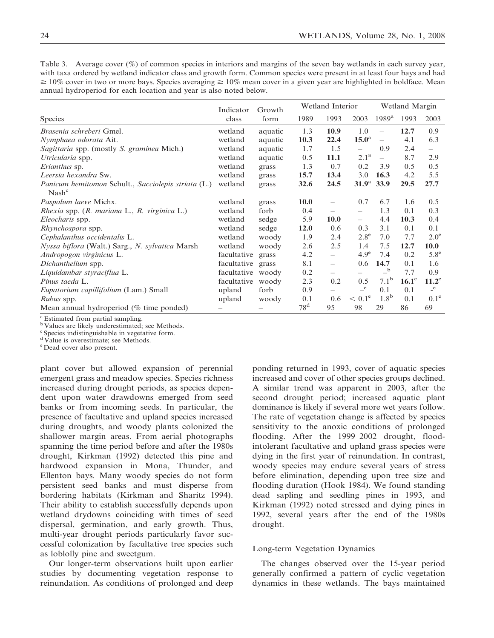|                                                                          | Indicator<br>class | Growth<br>form | Wetland Interior |                          |                          | Wetland Margin           |              |                  |
|--------------------------------------------------------------------------|--------------------|----------------|------------------|--------------------------|--------------------------|--------------------------|--------------|------------------|
| <b>Species</b>                                                           |                    |                | 1989             | 1993                     | 2003                     | 1989 <sup>a</sup>        | 1993         | 2003             |
| Brasenia schreberi Gmel.                                                 | wetland            | aquatic        | 1.3              | 10.9                     | 1.0                      | $\overline{\phantom{0}}$ | 12.7         | 0.9              |
| Nymphaea odorata Ait.                                                    | wetland            | aquatic        | 10.3             | 22.4                     | 15.0 <sup>a</sup>        | $\overline{\phantom{0}}$ | 4.1          | 6.3              |
| Sagittaria spp. (mostly S. graminea Mich.)                               | wetland            | aquatic        | 1.7              | 1.5                      | $\equiv$                 | 0.9                      | 2.4          | $\equiv$         |
| Utricularia spp.                                                         | wetland            | aquatic        | 0.5              | 11.1                     | 2.1 <sup>a</sup>         | $\equiv$                 | 8.7          | 2.9              |
| Erianthus sp.                                                            | wetland            | grass          | 1.3              | 0.7                      | 0.2                      | 3.9                      | 0.5          | 0.5              |
| Leersia hexandra Sw.                                                     | wetland            | grass          | 15.7             | 13.4                     | 3.0                      | 16.3                     | 4.2          | 5.5              |
| Panicum hemitomon Schult., Sacciolepis striata (L.)<br>Nash <sup>c</sup> | wetland            | grass          | 32.6             | 24.5                     | 31.9 <sup>a</sup>        | 33.9                     | 29.5         | 27.7             |
| Paspalum laeve Michx.                                                    | wetland            | grass          | <b>10.0</b>      | $\overline{\phantom{0}}$ | 0.7                      | 6.7                      | 1.6          | 0.5              |
| Rhexia spp. (R. mariana L., R. virginica L.)                             | wetland            | forb           | 0.4              |                          | $\overline{\phantom{0}}$ | 1.3                      | 0.1          | 0.3              |
| Eleocharis spp.                                                          | wetland            | sedge          | 5.9              | <b>10.0</b>              | $=$                      | 4.4                      | 10.3         | 0.4              |
| Rhynchospora spp.                                                        | wetland            | sedge          | 12.0             | 0.6                      | 0.3                      | 3.1                      | 0.1          | 0.1              |
| Cephalanthus occidentalis L.                                             | wetland            | woody          | 1.9              | 2.4                      | $2.8^{\circ}$            | 7.0                      | 7.7          | $2.0^\circ$      |
| Nyssa biflora (Walt.) Sarg., N. sylvatica Marsh                          | wetland            | woody          | 2.6              | 2.5                      | 1.4                      | 7.5                      | 12.7         | 10.0             |
| Andropogon virginicus L.                                                 | facultative        | grass          | 4.2              | $-$                      | 4.9 <sup>e</sup>         | 7.4                      | 0.2          | $5.8^e$          |
| Dichanthelium spp.                                                       | facultative        | grass          | 8.1              | $\frac{1}{2}$            | 0.6                      | 14.7                     | 0.1          | 1.6              |
| Liquidambar styraciflua L.                                               | facultative        | woody          | 0.2              | $\overline{\phantom{0}}$ |                          | $-$ b                    | 7.7          | 0.9              |
| Pinus taeda L.                                                           | facultative        | woody          | 2.3              | 0.2                      | 0.5                      | $7.1^{\rm b}$            | $16.1^\circ$ | $11.2^e$         |
| <i>Eupatorium capillifolium</i> (Lam.) Small                             | upland             | forb           | 0.9              |                          | e                        | 0.1                      | 0.1          | $\mathbf{e}$     |
| Rubus spp.                                                               | upland             | woody          | 0.1              | 0.6                      | $< 0.1^e$                | 1.8 <sup>b</sup>         | 0.1          | 0.1 <sup>e</sup> |
| Mean annual hydroperiod ( $\%$ time ponded)                              |                    |                | 78 <sup>d</sup>  | 95                       | 98                       | 29                       | 86           | 69               |

Table 3. Average cover  $(\%)$  of common species in interiors and margins of the seven bay wetlands in each survey year, with taxa ordered by wetland indicator class and growth form. Common species were present in at least four bays and had  $\geq 10\%$  cover in two or more bays. Species averaging  $\geq 10\%$  mean cover in a given year are highlighted in boldface. Mean annual hydroperiod for each location and year is also noted below.

<sup>a</sup> Estimated from partial sampling.

<sup>b</sup> Values are likely underestimated; see Methods.

c Species indistinguishable in vegetative form.

 $d\hat{V}$ alue is overestimate; see Methods.

e Dead cover also present.

plant cover but allowed expansion of perennial emergent grass and meadow species. Species richness increased during drought periods, as species dependent upon water drawdowns emerged from seed banks or from incoming seeds. In particular, the presence of facultative and upland species increased during droughts, and woody plants colonized the shallower margin areas. From aerial photographs spanning the time period before and after the 1980s drought, Kirkman (1992) detected this pine and hardwood expansion in Mona, Thunder, and Ellenton bays. Many woody species do not form persistent seed banks and must disperse from bordering habitats (Kirkman and Sharitz 1994). Their ability to establish successfully depends upon wetland drydowns coinciding with times of seed dispersal, germination, and early growth. Thus, multi-year drought periods particularly favor successful colonization by facultative tree species such as loblolly pine and sweetgum.

Our longer-term observations built upon earlier studies by documenting vegetation response to reinundation. As conditions of prolonged and deep ponding returned in 1993, cover of aquatic species increased and cover of other species groups declined. A similar trend was apparent in 2003, after the second drought period; increased aquatic plant dominance is likely if several more wet years follow. The rate of vegetation change is affected by species sensitivity to the anoxic conditions of prolonged flooding. After the 1999–2002 drought, floodintolerant facultative and upland grass species were dying in the first year of reinundation. In contrast, woody species may endure several years of stress before elimination, depending upon tree size and flooding duration (Hook 1984). We found standing dead sapling and seedling pines in 1993, and Kirkman (1992) noted stressed and dying pines in 1992, several years after the end of the 1980s drought.

## Long-term Vegetation Dynamics

The changes observed over the 15-year period generally confirmed a pattern of cyclic vegetation dynamics in these wetlands. The bays maintained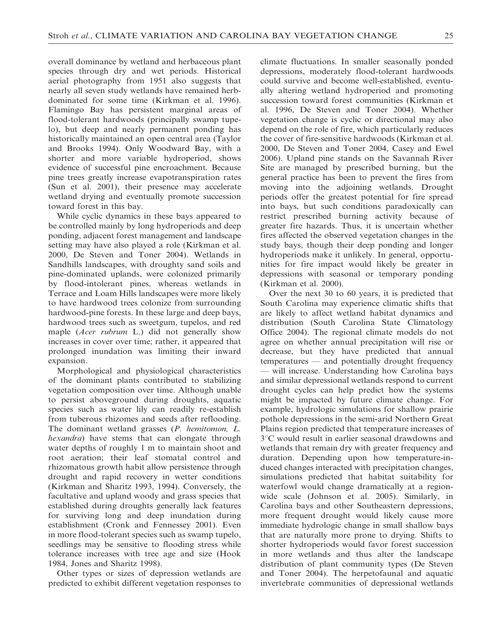overall dominance by wetland and herbaceous plant species through dry and wet periods. Historical aerial photography from 1951 also suggests that nearly all seven study wetlands have remained herbdominated for some time (Kirkman et al. 1996). Flamingo Bay has persistent marginal areas of flood-tolerant hardwoods (principally swamp tupelo), but deep and nearly permanent ponding has historically maintained an open central area (Taylor and Brooks 1994). Only Woodward Bay, with a shorter and more variable hydroperiod, shows evidence of successful pine encroachment. Because pine trees greatly increase evapotranspiration rates (Sun et al. 2001), their presence may accelerate wetland drying and eventually promote succession toward forest in this bay.

While cyclic dynamics in these bays appeared to be controlled mainly by long hydroperiods and deep ponding, adjacent forest management and landscape setting may have also played a role (Kirkman et al. 2000, De Steven and Toner 2004). Wetlands in Sandhills landscapes, with droughty sand soils and pine-dominated uplands, were colonized primarily by flood-intolerant pines, whereas wetlands in Terrace and Loam Hills landscapes were more likely to have hardwood trees colonize from surrounding hardwood-pine forests. In these large and deep bays, hardwood trees such as sweetgum, tupelos, and red maple (Acer rubrum L.) did not generally show increases in cover over time; rather, it appeared that prolonged inundation was limiting their inward expansion.

Morphological and physiological characteristics of the dominant plants contributed to stabilizing vegetation composition over time. Although unable to persist aboveground during droughts, aquatic species such as water lily can readily re-establish from tuberous rhizomes and seeds after reflooding. The dominant wetland grasses (P. hemitomon, L. hexandra) have stems that can elongate through water depths of roughly 1 m to maintain shoot and root aeration; their leaf stomatal control and rhizomatous growth habit allow persistence through drought and rapid recovery in wetter conditions (Kirkman and Sharitz 1993, 1994). Conversely, the facultative and upland woody and grass species that established during droughts generally lack features for surviving long and deep inundation during establishment (Cronk and Fennessey 2001). Even in more flood-tolerant species such as swamp tupelo, seedlings may be sensitive to flooding stress while tolerance increases with tree age and size (Hook 1984, Jones and Sharitz 1998).

Other types or sizes of depression wetlands are predicted to exhibit different vegetation responses to climate fluctuations. In smaller seasonally ponded depressions, moderately flood-tolerant hardwoods could survive and become well-established, eventually altering wetland hydroperiod and promoting succession toward forest communities (Kirkman et al. 1996, De Steven and Toner 2004). Whether vegetation change is cyclic or directional may also depend on the role of fire, which particularly reduces the cover of fire-sensitive hardwoods (Kirkman et al. 2000, De Steven and Toner 2004, Casey and Ewel 2006). Upland pine stands on the Savannah River Site are managed by prescribed burning, but the general practice has been to prevent the fires from moving into the adjoining wetlands. Drought periods offer the greatest potential for fire spread into bays, but such conditions paradoxically can restrict prescribed burning activity because of greater fire hazards. Thus, it is uncertain whether fires affected the observed vegetation changes in the study bays, though their deep ponding and longer hydroperiods make it unlikely. In general, opportunities for fire impact would likely be greater in depressions with seasonal or temporary ponding (Kirkman et al. 2000).

Over the next 30 to 60 years, it is predicted that South Carolina may experience climatic shifts that are likely to affect wetland habitat dynamics and distribution (South Carolina State Climatology Office 2004). The regional climate models do not agree on whether annual precipitation will rise or decrease, but they have predicted that annual temperatures — and potentially drought frequency will increase. Understanding how Carolina bays and similar depressional wetlands respond to current drought cycles can help predict how the systems might be impacted by future climate change. For example, hydrologic simulations for shallow prairie pothole depressions in the semi-arid Northern Great Plains region predicted that temperature increases of 3°C would result in earlier seasonal drawdowns and wetlands that remain dry with greater frequency and duration. Depending upon how temperature-induced changes interacted with precipitation changes, simulations predicted that habitat suitability for waterfowl would change dramatically at a regionwide scale (Johnson et al. 2005). Similarly, in Carolina bays and other Southeastern depressions, more frequent drought would likely cause more immediate hydrologic change in small shallow bays that are naturally more prone to drying. Shifts to shorter hydroperiods would favor forest succession in more wetlands and thus alter the landscape distribution of plant community types (De Steven and Toner 2004). The herpetofaunal and aquatic invertebrate communities of depressional wetlands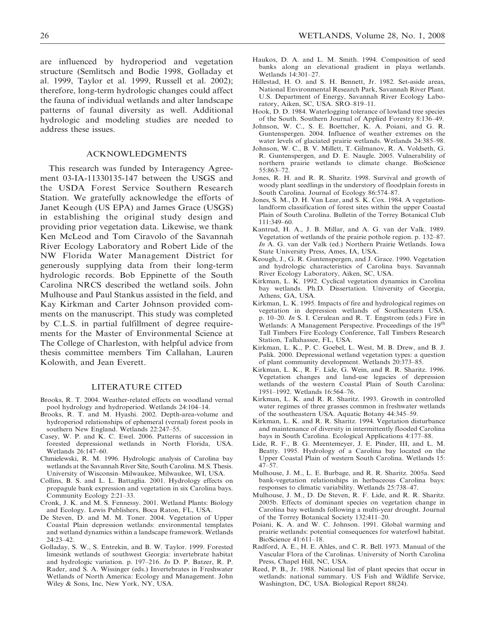are influenced by hydroperiod and vegetation structure (Semlitsch and Bodie 1998, Golladay et al. 1999, Taylor et al. 1999, Russell et al. 2002); therefore, long-term hydrologic changes could affect the fauna of individual wetlands and alter landscape patterns of faunal diversity as well. Additional hydrologic and modeling studies are needed to address these issues.

### ACKNOWLEDGMENTS

This research was funded by Interagency Agreement 03-IA-11330135-147 between the USGS and the USDA Forest Service Southern Research Station. We gratefully acknowledge the efforts of Janet Keough (US EPA) and James Grace (USGS) in establishing the original study design and providing prior vegetation data. Likewise, we thank Ken McLeod and Tom Ciravolo of the Savannah River Ecology Laboratory and Robert Lide of the NW Florida Water Management District for generously supplying data from their long-term hydrologic records. Bob Eppinette of the South Carolina NRCS described the wetland soils. John Mulhouse and Paul Stankus assisted in the field, and Kay Kirkman and Carter Johnson provided comments on the manuscript. This study was completed by C.L.S. in partial fulfillment of degree requirements for the Master of Environmental Science at The College of Charleston, with helpful advice from thesis committee members Tim Callahan, Lauren Kolowith, and Jean Everett.

#### LITERATURE CITED

- Brooks, R. T. 2004. Weather-related effects on woodland vernal pool hydrology and hydroperiod. Wetlands 24:104–14.
- Brooks, R. T. and M. Hyashi. 2002. Depth-area-volume and hydroperiod relationships of ephemeral (vernal) forest pools in southern New England. Wetlands 22:247–55.
- Casey, W. P. and K. C. Ewel. 2006. Patterns of succession in forested depressional wetlands in North Florida, USA. Wetlands 26:147–60.
- Chmielewski, R. M. 1996. Hydrologic analysis of Carolina bay wetlands at the Savannah River Site, South Carolina. M.S. Thesis. University of Wisconsin–Milwaukee, Milwaukee, WI, USA.
- Collins, B. S. and L. L. Battaglia. 2001. Hydrology effects on propagule bank expression and vegetation in six Carolina bays. Community Ecology 2:21–33.
- Cronk, J. K. and M. S. Fennessy. 2001. Wetland Plants: Biology and Ecology. Lewis Publishers, Boca Raton, FL, USA.
- De Steven, D. and M. M. Toner. 2004. Vegetation of Upper Coastal Plain depression wetlands: environmental templates and wetland dynamics within a landscape framework. Wetlands 24:23–42.
- Golladay, S. W., S. Entrekin, and B. W. Taylor. 1999. Forested limesink wetlands of southwest Georgia: invertebrate habitat and hydrologic variation. p. 197–216. In D. P. Batzer, R. P. Rader, and S. A. Wissinger (eds.) Invertebrates in Freshwater Wetlands of North America: Ecology and Management. John Wiley & Sons, Inc, New York, NY, USA.
- Haukos, D. A. and L. M. Smith. 1994. Composition of seed banks along an elevational gradient in playa wetlands. Wetlands 14:301–27.
- Hillestad, H. O. and S. H. Bennett, Jr. 1982. Set-aside areas, National Environmental Research Park, Savannah River Plant. U.S. Department of Energy, Savannah River Ecology Laboratory, Aiken, SC, USA. SRO–819–11.
- Hook, D. D. 1984. Waterlogging tolerance of lowland tree species of the South. Southern Journal of Applied Forestry 8:136–49.
- Johnson, W. C., S. E. Boettcher, K. A. Poiani, and G. R. Guntenspergen. 2004. Influence of weather extremes on the water levels of glaciated prairie wetlands. Wetlands 24:385–98.
- Johnson, W. C., B. V. Millett, T. Gilmanov, R. A. Voldseth, G. R. Guntenspergen, and D. E. Naugle. 2005. Vulnerability of northern prairie wetlands to climate change. BioScience 55:863–72.
- Jones, R. H. and R. R. Sharitz. 1998. Survival and growth of woody plant seedlings in the understory of floodplain forests in South Carolina. Journal of Ecology 86:574–87.
- Jones, S. M., D. H. Van Lear, and S. K. Cox. 1984. A vegetationlandform classification of forest sites within the upper Coastal Plain of South Carolina. Bulletin of the Torrey Botanical Club 111:349–60.
- Kantrud, H. A., J. B. Millar, and A. G. van der Valk. 1989. Vegetation of wetlands of the prairie pothole region. p. 132–87. In A. G. van der Valk (ed.) Northern Prairie Wetlands. Iowa State University Press, Ames, IA, USA.
- Keough, J., G. R. Guntenspergen, and J. Grace. 1990. Vegetation and hydrologic characteristics of Carolina bays. Savannah River Ecology Laboratory, Aiken, SC, USA.
- Kirkman, L. K. 1992. Cyclical vegetation dynamics in Carolina bay wetlands. Ph.D. Dissertation. University of Georgia, Athens, GA, USA.
- Kirkman, L. K. 1995. Impacts of fire and hydrological regimes on vegetation in depression wetlands of Southeastern USA. p. 10–20. In S. I. Cerulean and R. T. Engstrom (eds.) Fire in Wetlands: A Management Perspective. Proceedings of the 19<sup>th</sup> Tall Timbers Fire Ecology Conference, Tall Timbers Research Station, Tallahassee, FL, USA.
- Kirkman, L. K., P. C. Goebel, L. West, M. B. Drew, and B. J. Palik. 2000. Depressional wetland vegetation types: a question of plant community development. Wetlands 20:373–85.
- Kirkman, L. K., R. F. Lide, G. Wein, and R. R. Sharitz. 1996. Vegetation changes and land-use legacies of depression wetlands of the western Coastal Plain of South Carolina: 1951–1992. Wetlands 16:564–76.
- Kirkman, L. K. and R. R. Sharitz. 1993. Growth in controlled water regimes of three grasses common in freshwater wetlands of the southeastern USA. Aquatic Botany 44:345–59.
- Kirkman, L. K. and R. R. Sharitz. 1994. Vegetation disturbance and maintenance of diversity in intermittently flooded Carolina bays in South Carolina. Ecological Applications 4:177–88.
- Lide, R. F., B. G. Meentemeyer, J. E. Pinder, III, and L. M. Beatty. 1995. Hydrology of a Carolina bay located on the Upper Coastal Plain of western South Carolina. Wetlands 15: 47–57.
- Mulhouse, J. M., L. E. Burbage, and R. R. Sharitz. 2005a. Seed bank-vegetation relationships in herbaceous Carolina bays: responses to climatic variability. Wetlands 25:738–47.
- Mulhouse, J. M., D. De Steven, R. F. Lide, and R. R. Sharitz. 2005b. Effects of dominant species on vegetation change in Carolina bay wetlands following a multi-year drought. Journal of the Torrey Botanical Society 132:411–20.
- Poiani, K. A. and W. C. Johnson. 1991. Global warming and prairie wetlands: potential consequences for waterfowl habitat. BioScience 41:611–18.
- Radford, A. E., H. E. Ahles, and C. R. Bell. 1973. Manual of the Vascular Flora of the Carolinas. University of North Carolina Press, Chapel Hill, NC, USA.
- Reed, P. B., Jr. 1988. National list of plant species that occur in wetlands: national summary. US Fish and Wildlife Service, Washington, DC, USA. Biological Report 88(24).